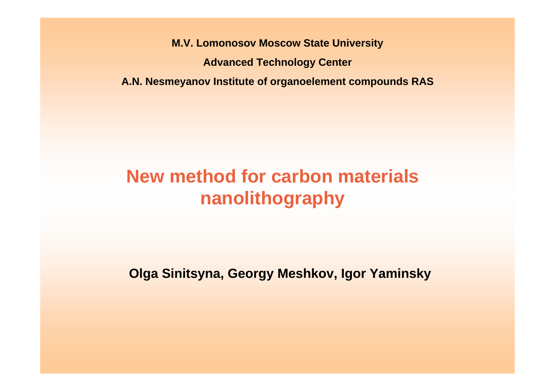**M.V. Lomonosov Moscow State University Advanced Technology Center A.N. Nesmeyanov Institute of organoelement compounds RAS**

## **New method for carbon materials nanolithography**

**Olga Sinitsyna, Georgy Meshkov, Igor Yaminsky**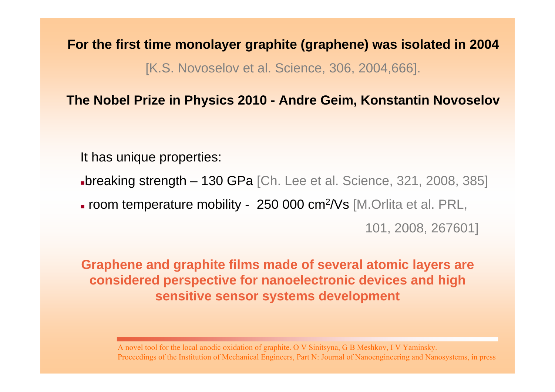**For the first time monolayer graphite (graphene) was isolated in 2004** [K.S. Novoselov et al. Science, 306, 2004,666].

#### **The Nobel Prize in Physics 2010 - Andre Geim, Konstantin Novoselov**

It has unique properties:

breaking strength – 130 GPa [Ch. Lee et al. Science, 321, 2008, 385]

room temperature mobility - 250 000 cm 2/Vs [M.Orlita et al. PRL,

101, 2008, 267601]

**Graphene and graphite films made of several atomic layers are considered perspective for nanoelectronic devices and high sensitive sensor systems development**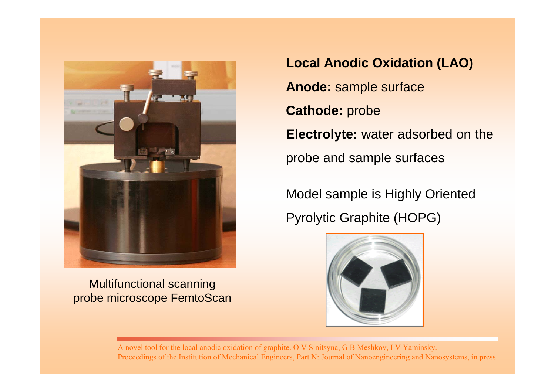

Multifunctional scanning probe microscope FemtoScan **Local Anodic Oxidation (LAO) Anode:** sample surface **Cathode:** probe **Electrolyte:** water adsorbed on the probe and sample surfaces

Model sample is Highly Oriented Pyrolytic Graphite (HOPG)

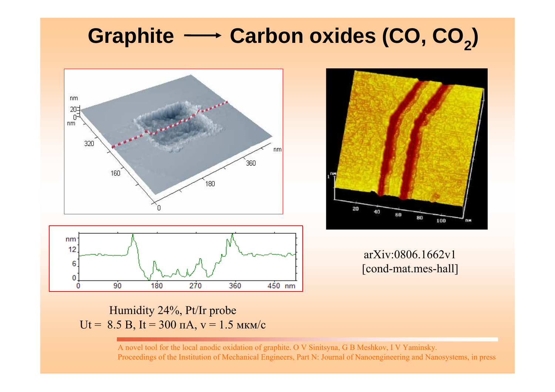# **Graphite Carbon oxides (CO, CO2)**





arXiv:0806.1662v1 [cond-mat.mes-hall]

Humidity 24%, Pt/Ir probe Ut = 8.5 B, It = 300  $\text{mA}$ ,  $\text{v} = 1.5 \text{ MKm/c}$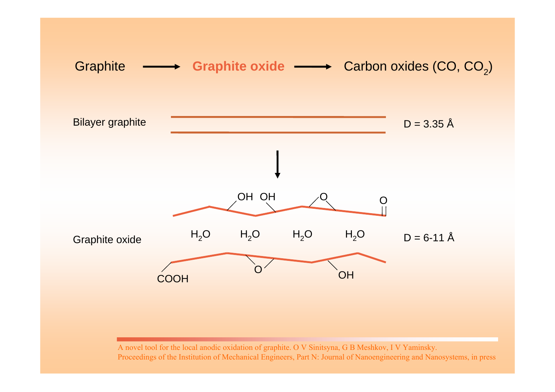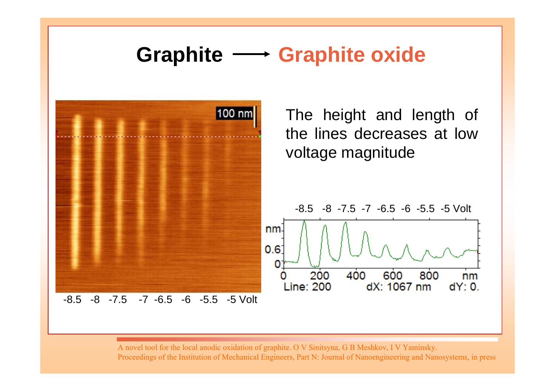## **Graphite Graphite oxide**



The height and length of the lines decreases at lowvoltage magnitude



A novel tool for the local anodic oxidation of graphite. O V Sinitsyna, G B Meshkov, I V Yaminsky.

Proceedings of the Institution of Mechanical Engineers, Part N: Journal of Nanoengineering and Nanosystems, in press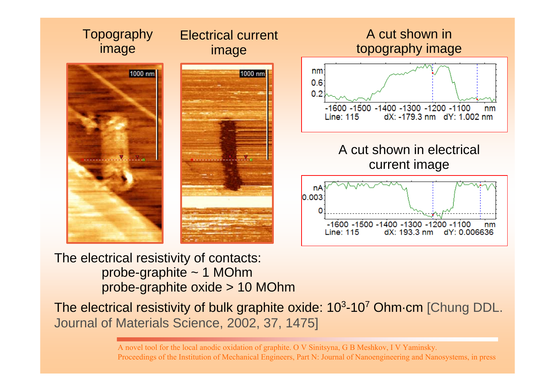

#### The electrical resistivity of contacts: probe-graphite ~ 1 MOhm probe-graphite oxide > 10 MOhm

The electrical resistivity of bulk graphite oxide: 10 3-10 <sup>7</sup> Ohm-cm [Chung DDL. Journal of Materials Science, 2002, 37, 1475]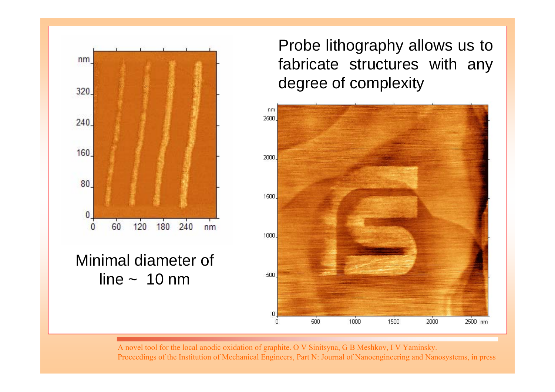

### Minimal diameter of line  $\sim 10$  nm

Probe lithography allows us to fabricate structures with any degree of complexity